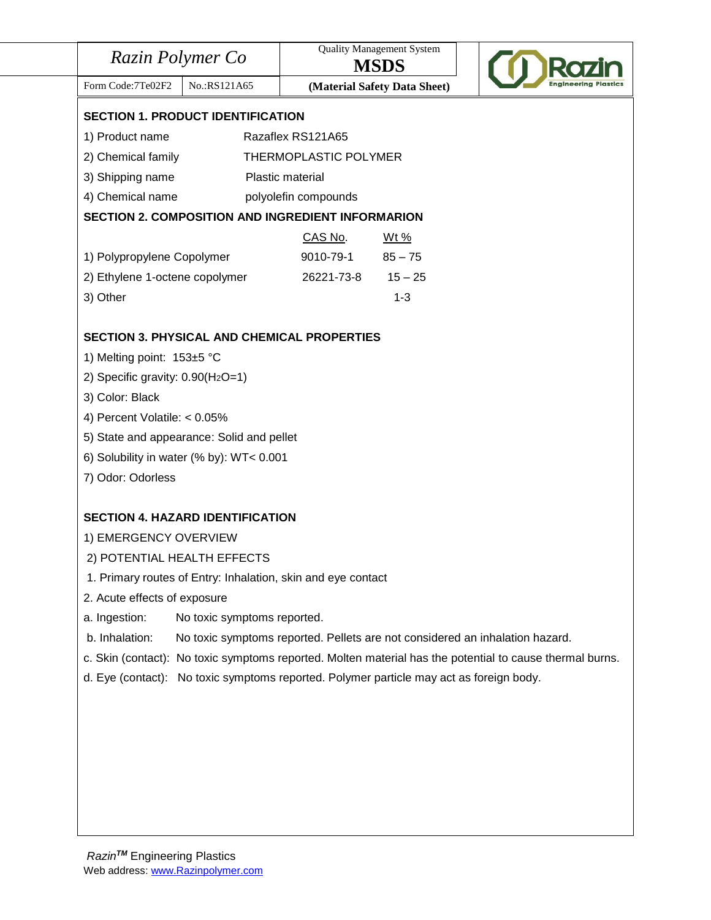| Razin Polymer Co                    |                                                              | <b>Quality Management System</b><br><b>MSDS</b> |                                                                                         |                                                                                                          |
|-------------------------------------|--------------------------------------------------------------|-------------------------------------------------|-----------------------------------------------------------------------------------------|----------------------------------------------------------------------------------------------------------|
| Form Code: 7Te02F2                  | No.:RS121A65                                                 |                                                 | (Material Safety Data Sheet)                                                            |                                                                                                          |
|                                     | <b>SECTION 1. PRODUCT IDENTIFICATION</b>                     |                                                 |                                                                                         |                                                                                                          |
| 1) Product name                     |                                                              | Razaflex RS121A65                               |                                                                                         |                                                                                                          |
| 2) Chemical family                  |                                                              | THERMOPLASTIC POLYMER                           |                                                                                         |                                                                                                          |
| 3) Shipping name                    |                                                              | Plastic material                                |                                                                                         |                                                                                                          |
| 4) Chemical name                    |                                                              | polyolefin compounds                            |                                                                                         |                                                                                                          |
|                                     | <b>SECTION 2. COMPOSITION AND INGREDIENT INFORMARION</b>     |                                                 |                                                                                         |                                                                                                          |
|                                     |                                                              | CAS No.                                         | Wt %                                                                                    |                                                                                                          |
| 1) Polypropylene Copolymer          |                                                              | 9010-79-1                                       | $85 - 75$                                                                               |                                                                                                          |
| 2) Ethylene 1-octene copolymer      |                                                              | 26221-73-8                                      | $15 - 25$                                                                               |                                                                                                          |
| 3) Other                            |                                                              |                                                 | $1 - 3$                                                                                 |                                                                                                          |
|                                     | <b>SECTION 3. PHYSICAL AND CHEMICAL PROPERTIES</b>           |                                                 |                                                                                         |                                                                                                          |
| 1) Melting point: 153±5 °C          |                                                              |                                                 |                                                                                         |                                                                                                          |
| 2) Specific gravity: $0.90(H_2O=1)$ |                                                              |                                                 |                                                                                         |                                                                                                          |
| 3) Color: Black                     |                                                              |                                                 |                                                                                         |                                                                                                          |
| 4) Percent Volatile: < 0.05%        |                                                              |                                                 |                                                                                         |                                                                                                          |
|                                     | 5) State and appearance: Solid and pellet                    |                                                 |                                                                                         |                                                                                                          |
|                                     | 6) Solubility in water (% by): WT< 0.001                     |                                                 |                                                                                         |                                                                                                          |
| 7) Odor: Odorless                   |                                                              |                                                 |                                                                                         |                                                                                                          |
|                                     | <b>SECTION 4. HAZARD IDENTIFICATION</b>                      |                                                 |                                                                                         |                                                                                                          |
| 1) EMERGENCY OVERVIEW               |                                                              |                                                 |                                                                                         |                                                                                                          |
| 2) POTENTIAL HEALTH EFFECTS         |                                                              |                                                 |                                                                                         |                                                                                                          |
|                                     | 1. Primary routes of Entry: Inhalation, skin and eye contact |                                                 |                                                                                         |                                                                                                          |
| 2. Acute effects of exposure        |                                                              |                                                 |                                                                                         |                                                                                                          |
| a. Ingestion:                       | No toxic symptoms reported.                                  |                                                 |                                                                                         |                                                                                                          |
| b. Inhalation:                      |                                                              |                                                 |                                                                                         | No toxic symptoms reported. Pellets are not considered an inhalation hazard.                             |
|                                     |                                                              |                                                 |                                                                                         | c. Skin (contact): No toxic symptoms reported. Molten material has the potential to cause thermal burns. |
|                                     |                                                              |                                                 | d. Eye (contact): No toxic symptoms reported. Polymer particle may act as foreign body. |                                                                                                          |
|                                     |                                                              |                                                 |                                                                                         |                                                                                                          |
|                                     |                                                              |                                                 |                                                                                         |                                                                                                          |
|                                     |                                                              |                                                 |                                                                                         |                                                                                                          |
|                                     |                                                              |                                                 |                                                                                         |                                                                                                          |
|                                     |                                                              |                                                 |                                                                                         |                                                                                                          |
|                                     |                                                              |                                                 |                                                                                         |                                                                                                          |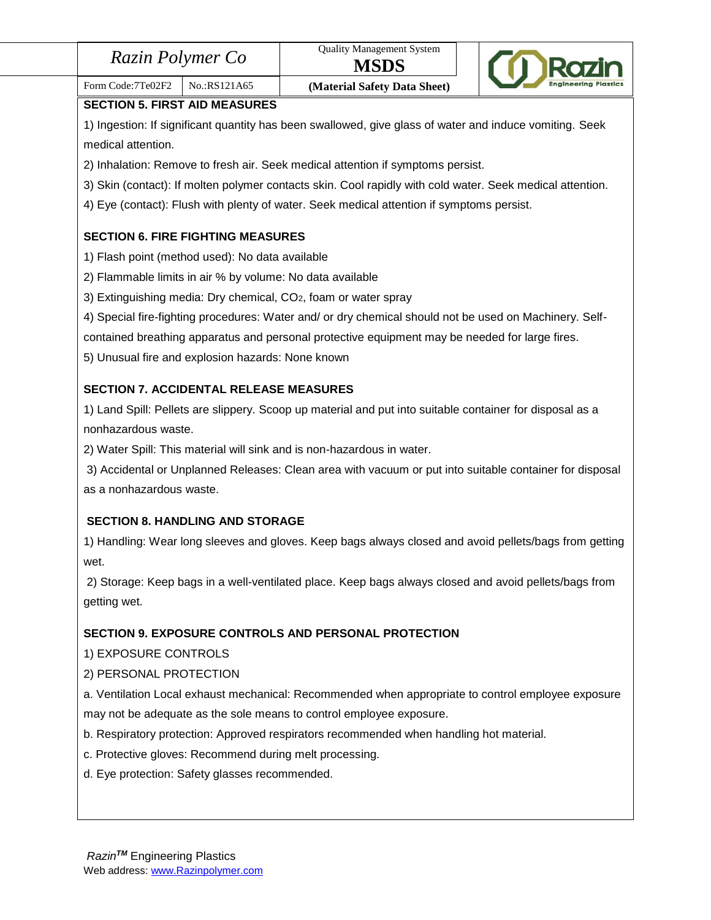| Razin Polymer Co |
|------------------|
|------------------|



# Form Code:7Te02F2 | No.:RS121A65 **(Material Safety Data Sheet)**

**SECTION 5. FIRST AID MEASURES**

1) Ingestion: If significant quantity has been swallowed, give glass of water and induce vomiting. Seek medical attention.

2) Inhalation: Remove to fresh air. Seek medical attention if symptoms persist.

3) Skin (contact): If molten polymer contacts skin. Cool rapidly with cold water. Seek medical attention.

4) Eye (contact): Flush with plenty of water. Seek medical attention if symptoms persist.

# **SECTION 6. FIRE FIGHTING MEASURES**

- 1) Flash point (method used): No data available
- 2) Flammable limits in air % by volume: No data available
- 3) Extinguishing media: Dry chemical, CO2, foam or water spray
- 4) Special fire-fighting procedures: Water and/ or dry chemical should not be used on Machinery. Self-

contained breathing apparatus and personal protective equipment may be needed for large fires.

5) Unusual fire and explosion hazards: None known

# **SECTION 7. ACCIDENTAL RELEASE MEASURES**

1) Land Spill: Pellets are slippery. Scoop up material and put into suitable container for disposal as a nonhazardous waste.

2) Water Spill: This material will sink and is non-hazardous in water.

3) Accidental or Unplanned Releases: Clean area with vacuum or put into suitable container for disposal as a nonhazardous waste.

# **SECTION 8. HANDLING AND STORAGE**

1) Handling: Wear long sleeves and gloves. Keep bags always closed and avoid pellets/bags from getting wet.

2) Storage: Keep bags in a well-ventilated place. Keep bags always closed and avoid pellets/bags from getting wet.

# **SECTION 9. EXPOSURE CONTROLS AND PERSONAL PROTECTION**

1) EXPOSURE CONTROLS

# 2) PERSONAL PROTECTION

a. Ventilation Local exhaust mechanical: Recommended when appropriate to control employee exposure may not be adequate as the sole means to control employee exposure.

- b. Respiratory protection: Approved respirators recommended when handling hot material.
- c. Protective gloves: Recommend during melt processing.
- d. Eye protection: Safety glasses recommended.